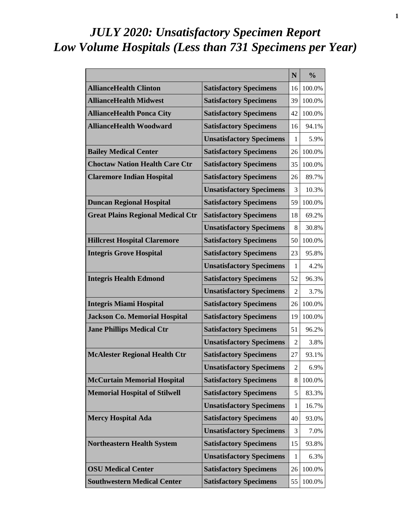# *JULY 2020: Unsatisfactory Specimen Report Low Volume Hospitals (Less than 731 Specimens per Year)*

|                                          |                                 | N              | $\frac{0}{0}$ |
|------------------------------------------|---------------------------------|----------------|---------------|
| <b>AllianceHealth Clinton</b>            | <b>Satisfactory Specimens</b>   | 16             | 100.0%        |
| <b>AllianceHealth Midwest</b>            | <b>Satisfactory Specimens</b>   | 39             | 100.0%        |
| <b>AllianceHealth Ponca City</b>         | <b>Satisfactory Specimens</b>   | 42             | 100.0%        |
| <b>AllianceHealth Woodward</b>           | <b>Satisfactory Specimens</b>   | 16             | 94.1%         |
|                                          | <b>Unsatisfactory Specimens</b> | 1              | 5.9%          |
| <b>Bailey Medical Center</b>             | <b>Satisfactory Specimens</b>   | 26             | 100.0%        |
| <b>Choctaw Nation Health Care Ctr</b>    | <b>Satisfactory Specimens</b>   | 35             | 100.0%        |
| <b>Claremore Indian Hospital</b>         | <b>Satisfactory Specimens</b>   | 26             | 89.7%         |
|                                          | <b>Unsatisfactory Specimens</b> | 3              | 10.3%         |
| <b>Duncan Regional Hospital</b>          | <b>Satisfactory Specimens</b>   | 59             | 100.0%        |
| <b>Great Plains Regional Medical Ctr</b> | <b>Satisfactory Specimens</b>   | 18             | 69.2%         |
|                                          | <b>Unsatisfactory Specimens</b> | 8              | 30.8%         |
| <b>Hillcrest Hospital Claremore</b>      | <b>Satisfactory Specimens</b>   | 50             | 100.0%        |
| <b>Integris Grove Hospital</b>           | <b>Satisfactory Specimens</b>   | 23             | 95.8%         |
|                                          | <b>Unsatisfactory Specimens</b> | 1              | 4.2%          |
| <b>Integris Health Edmond</b>            | <b>Satisfactory Specimens</b>   | 52             | 96.3%         |
|                                          | <b>Unsatisfactory Specimens</b> | 2              | 3.7%          |
| <b>Integris Miami Hospital</b>           | <b>Satisfactory Specimens</b>   | 26             | 100.0%        |
| <b>Jackson Co. Memorial Hospital</b>     | <b>Satisfactory Specimens</b>   | 19             | 100.0%        |
| <b>Jane Phillips Medical Ctr</b>         | <b>Satisfactory Specimens</b>   | 51             | 96.2%         |
|                                          | <b>Unsatisfactory Specimens</b> | $\overline{2}$ | 3.8%          |
| <b>McAlester Regional Health Ctr</b>     | <b>Satisfactory Specimens</b>   | 27             | 93.1%         |
|                                          | <b>Unsatisfactory Specimens</b> | $\overline{c}$ | 6.9%          |
| <b>McCurtain Memorial Hospital</b>       | <b>Satisfactory Specimens</b>   | 8              | 100.0%        |
| <b>Memorial Hospital of Stilwell</b>     | <b>Satisfactory Specimens</b>   | 5              | 83.3%         |
|                                          | <b>Unsatisfactory Specimens</b> | 1              | 16.7%         |
| <b>Mercy Hospital Ada</b>                | <b>Satisfactory Specimens</b>   | 40             | 93.0%         |
|                                          | <b>Unsatisfactory Specimens</b> | 3              | 7.0%          |
| <b>Northeastern Health System</b>        | <b>Satisfactory Specimens</b>   | 15             | 93.8%         |
|                                          | <b>Unsatisfactory Specimens</b> | 1              | 6.3%          |
| <b>OSU Medical Center</b>                | <b>Satisfactory Specimens</b>   | 26             | 100.0%        |
| <b>Southwestern Medical Center</b>       | <b>Satisfactory Specimens</b>   | 55             | 100.0%        |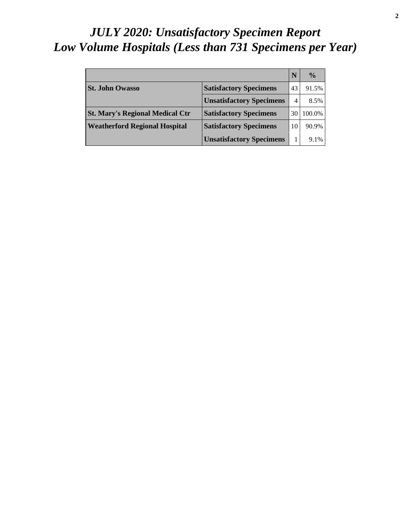# *JULY 2020: Unsatisfactory Specimen Report Low Volume Hospitals (Less than 731 Specimens per Year)*

|                                        |                                 |    | $\frac{0}{0}$ |
|----------------------------------------|---------------------------------|----|---------------|
| <b>St. John Owasso</b>                 | <b>Satisfactory Specimens</b>   | 43 | 91.5%         |
|                                        | <b>Unsatisfactory Specimens</b> | 4  | 8.5%          |
| <b>St. Mary's Regional Medical Ctr</b> | <b>Satisfactory Specimens</b>   | 30 | 100.0%        |
| <b>Weatherford Regional Hospital</b>   | <b>Satisfactory Specimens</b>   | 10 | 90.9%         |
|                                        | <b>Unsatisfactory Specimens</b> |    | 9.1%          |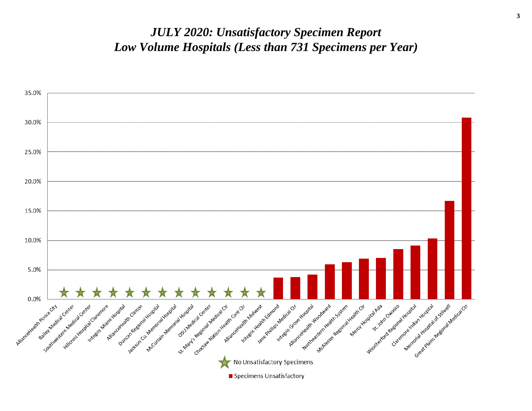#### *JULY 2020: Unsatisfactory Specimen Report Low Volume Hospitals (Less than 731 Specimens per Year)*

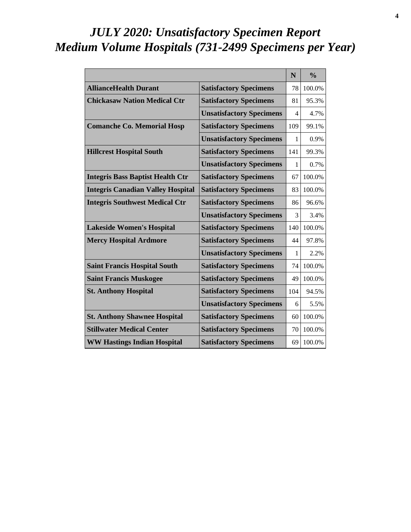# *JULY 2020: Unsatisfactory Specimen Report Medium Volume Hospitals (731-2499 Specimens per Year)*

|                                          |                                 | N   | $\frac{0}{0}$ |
|------------------------------------------|---------------------------------|-----|---------------|
| <b>AllianceHealth Durant</b>             | <b>Satisfactory Specimens</b>   | 78  | 100.0%        |
| <b>Chickasaw Nation Medical Ctr</b>      | <b>Satisfactory Specimens</b>   | 81  | 95.3%         |
|                                          | <b>Unsatisfactory Specimens</b> | 4   | 4.7%          |
| <b>Comanche Co. Memorial Hosp</b>        | <b>Satisfactory Specimens</b>   | 109 | 99.1%         |
|                                          | <b>Unsatisfactory Specimens</b> | 1   | 0.9%          |
| <b>Hillcrest Hospital South</b>          | <b>Satisfactory Specimens</b>   | 141 | 99.3%         |
|                                          | <b>Unsatisfactory Specimens</b> | 1   | 0.7%          |
| <b>Integris Bass Baptist Health Ctr</b>  | <b>Satisfactory Specimens</b>   | 67  | 100.0%        |
| <b>Integris Canadian Valley Hospital</b> | <b>Satisfactory Specimens</b>   | 83  | 100.0%        |
| <b>Integris Southwest Medical Ctr</b>    | <b>Satisfactory Specimens</b>   | 86  | 96.6%         |
|                                          | <b>Unsatisfactory Specimens</b> | 3   | 3.4%          |
| <b>Lakeside Women's Hospital</b>         | <b>Satisfactory Specimens</b>   | 140 | 100.0%        |
| <b>Mercy Hospital Ardmore</b>            | <b>Satisfactory Specimens</b>   | 44  | 97.8%         |
|                                          | <b>Unsatisfactory Specimens</b> | 1   | 2.2%          |
| <b>Saint Francis Hospital South</b>      | <b>Satisfactory Specimens</b>   | 74  | 100.0%        |
| <b>Saint Francis Muskogee</b>            | <b>Satisfactory Specimens</b>   | 49  | 100.0%        |
| <b>St. Anthony Hospital</b>              | <b>Satisfactory Specimens</b>   | 104 | 94.5%         |
|                                          | <b>Unsatisfactory Specimens</b> | 6   | 5.5%          |
| <b>St. Anthony Shawnee Hospital</b>      | <b>Satisfactory Specimens</b>   | 60  | 100.0%        |
| <b>Stillwater Medical Center</b>         | <b>Satisfactory Specimens</b>   | 70  | 100.0%        |
| <b>WW Hastings Indian Hospital</b>       | <b>Satisfactory Specimens</b>   | 69  | 100.0%        |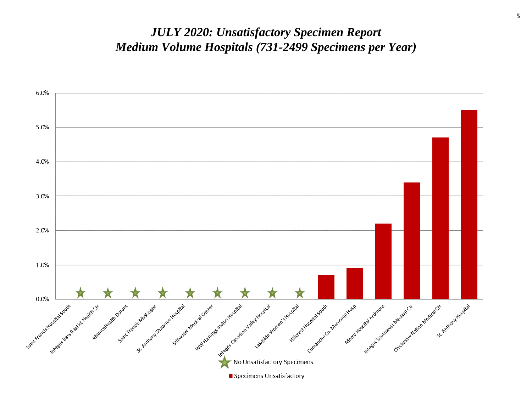#### *JULY 2020: Unsatisfactory Specimen Report Medium Volume Hospitals (731-2499 Specimens per Year)*

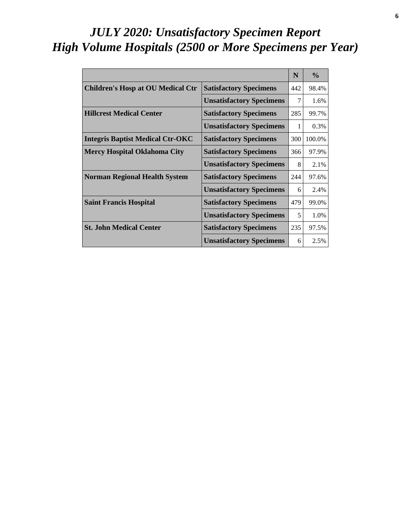# *JULY 2020: Unsatisfactory Specimen Report High Volume Hospitals (2500 or More Specimens per Year)*

|                                          |                                 | N   | $\frac{0}{0}$ |
|------------------------------------------|---------------------------------|-----|---------------|
| <b>Children's Hosp at OU Medical Ctr</b> | <b>Satisfactory Specimens</b>   | 442 | 98.4%         |
|                                          | <b>Unsatisfactory Specimens</b> | 7   | 1.6%          |
| <b>Hillcrest Medical Center</b>          | <b>Satisfactory Specimens</b>   | 285 | 99.7%         |
|                                          | <b>Unsatisfactory Specimens</b> | 1   | 0.3%          |
| <b>Integris Baptist Medical Ctr-OKC</b>  | <b>Satisfactory Specimens</b>   | 300 | 100.0%        |
| <b>Mercy Hospital Oklahoma City</b>      | <b>Satisfactory Specimens</b>   | 366 | 97.9%         |
|                                          | <b>Unsatisfactory Specimens</b> | 8   | 2.1%          |
| <b>Norman Regional Health System</b>     | <b>Satisfactory Specimens</b>   | 244 | 97.6%         |
|                                          | <b>Unsatisfactory Specimens</b> | 6   | 2.4%          |
| <b>Saint Francis Hospital</b>            | <b>Satisfactory Specimens</b>   | 479 | 99.0%         |
|                                          | <b>Unsatisfactory Specimens</b> | 5   | 1.0%          |
| <b>St. John Medical Center</b>           | <b>Satisfactory Specimens</b>   | 235 | 97.5%         |
|                                          | <b>Unsatisfactory Specimens</b> | 6   | 2.5%          |